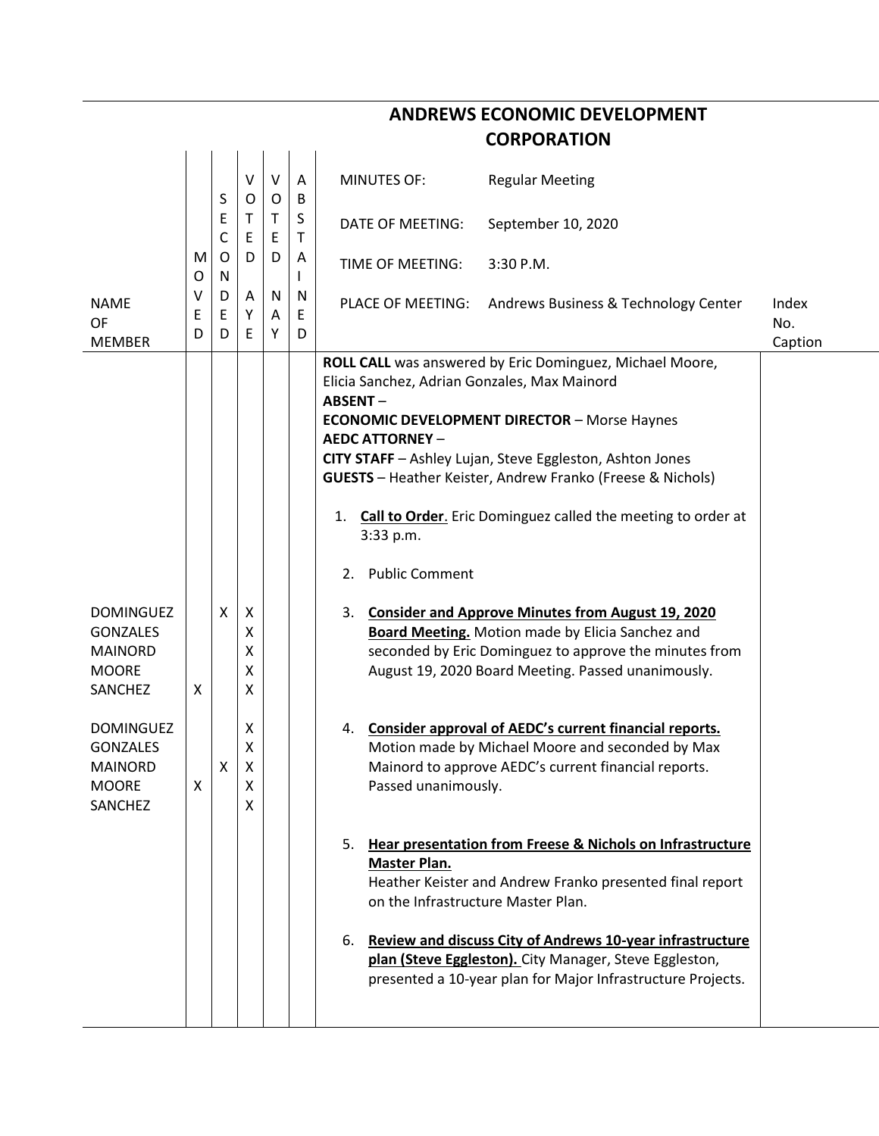|                                                                                  | <b>CORPORATION</b> |                             |                       |              |                  |                                                                                                                            |                                                                                                                                                                                                                                                                                                                                                                                                                                                                                                                                                        |                         |  |  |  |  |
|----------------------------------------------------------------------------------|--------------------|-----------------------------|-----------------------|--------------|------------------|----------------------------------------------------------------------------------------------------------------------------|--------------------------------------------------------------------------------------------------------------------------------------------------------------------------------------------------------------------------------------------------------------------------------------------------------------------------------------------------------------------------------------------------------------------------------------------------------------------------------------------------------------------------------------------------------|-------------------------|--|--|--|--|
|                                                                                  |                    | S                           | V<br>O                | V<br>O       | Α<br>B           | <b>MINUTES OF:</b>                                                                                                         | <b>Regular Meeting</b>                                                                                                                                                                                                                                                                                                                                                                                                                                                                                                                                 |                         |  |  |  |  |
|                                                                                  | M<br>O             | E<br>$\mathsf{C}$<br>O<br>N | Τ<br>E<br>D           | T.<br>E<br>D | S<br>Τ<br>A<br>L | <b>DATE OF MEETING:</b>                                                                                                    | September 10, 2020                                                                                                                                                                                                                                                                                                                                                                                                                                                                                                                                     |                         |  |  |  |  |
|                                                                                  |                    |                             |                       |              |                  | TIME OF MEETING:                                                                                                           | 3:30 P.M.                                                                                                                                                                                                                                                                                                                                                                                                                                                                                                                                              |                         |  |  |  |  |
| <b>NAME</b><br>OF<br><b>MEMBER</b>                                               | v<br>Ε<br>D        | D<br>Ε<br>D                 | Α<br>Υ<br>Ε           | N<br>Α<br>Y  | N<br>E<br>D      | PLACE OF MEETING:                                                                                                          | Andrews Business & Technology Center                                                                                                                                                                                                                                                                                                                                                                                                                                                                                                                   | Index<br>No.<br>Caption |  |  |  |  |
| <b>DOMINGUEZ</b><br><b>GONZALES</b><br><b>MAINORD</b><br><b>MOORE</b><br>SANCHEZ | X                  | Χ                           | X<br>X<br>χ<br>χ<br>x |              |                  | Elicia Sanchez, Adrian Gonzales, Max Mainord<br><b>ABSENT-</b><br><b>AEDC ATTORNEY -</b><br>3:33 p.m.<br>2. Public Comment | ROLL CALL was answered by Eric Dominguez, Michael Moore,<br><b>ECONOMIC DEVELOPMENT DIRECTOR - Morse Haynes</b><br>CITY STAFF - Ashley Lujan, Steve Eggleston, Ashton Jones<br><b>GUESTS</b> - Heather Keister, Andrew Franko (Freese & Nichols)<br>1. Call to Order. Eric Dominguez called the meeting to order at<br>3. Consider and Approve Minutes from August 19, 2020<br><b>Board Meeting.</b> Motion made by Elicia Sanchez and<br>seconded by Eric Dominguez to approve the minutes from<br>August 19, 2020 Board Meeting. Passed unanimously. |                         |  |  |  |  |
| <b>DOMINGUEZ</b><br><b>GONZALES</b><br>MAINORD<br><b>MOORE</b><br>SANCHEZ        | X                  | х                           | Х<br>X<br>х<br>X<br>X |              |                  | Passed unanimously.                                                                                                        | 4. Consider approval of AEDC's current financial reports.<br>Motion made by Michael Moore and seconded by Max<br>Mainord to approve AEDC's current financial reports.                                                                                                                                                                                                                                                                                                                                                                                  |                         |  |  |  |  |
|                                                                                  |                    |                             |                       |              |                  | <b>Master Plan.</b><br>on the Infrastructure Master Plan.                                                                  | 5. Hear presentation from Freese & Nichols on Infrastructure<br>Heather Keister and Andrew Franko presented final report<br>6. Review and discuss City of Andrews 10-year infrastructure<br>plan (Steve Eggleston). City Manager, Steve Eggleston,<br>presented a 10-year plan for Major Infrastructure Projects.                                                                                                                                                                                                                                      |                         |  |  |  |  |
|                                                                                  |                    |                             |                       |              |                  |                                                                                                                            |                                                                                                                                                                                                                                                                                                                                                                                                                                                                                                                                                        |                         |  |  |  |  |

**ANDREWS ECONOMIC DEVELOPMENT**